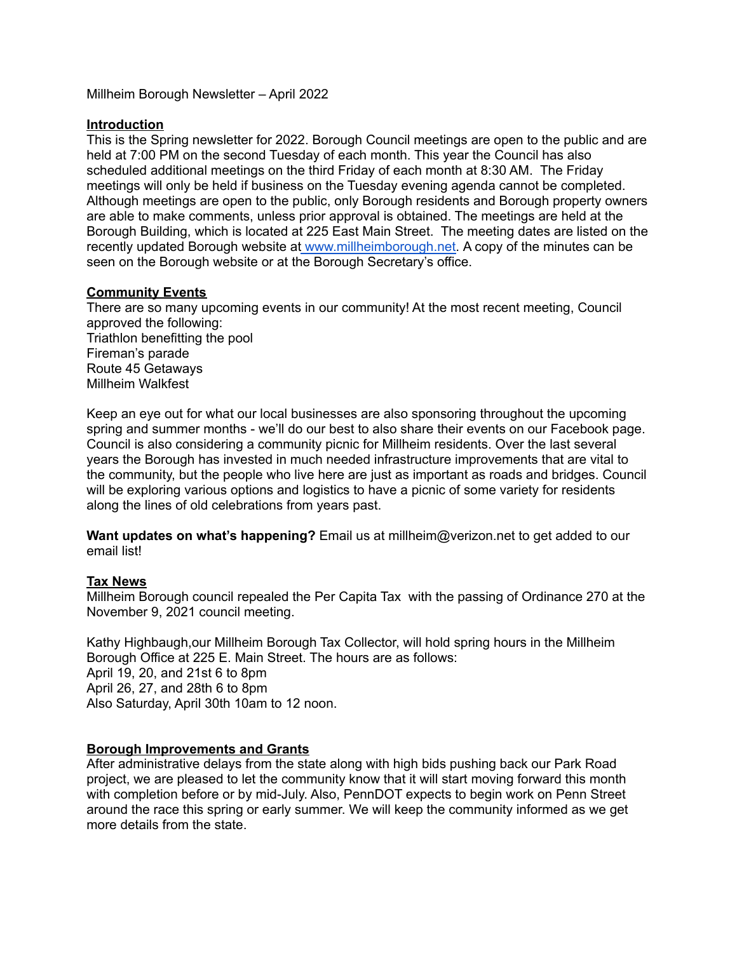Millheim Borough Newsletter – April 2022

### **Introduction**

This is the Spring newsletter for 2022. Borough Council meetings are open to the public and are held at 7:00 PM on the second Tuesday of each month. This year the Council has also scheduled additional meetings on the third Friday of each month at 8:30 AM. The Friday meetings will only be held if business on the Tuesday evening agenda cannot be completed. Although meetings are open to the public, only Borough residents and Borough property owners are able to make comments, unless prior approval is obtained. The meetings are held at the Borough Building, which is located at 225 East Main Street. The meeting dates are listed on the recently updated Borough website at [www.millheimborough.net.](http://www.millheimborough.net/) A copy of the minutes can be seen on the Borough website or at the Borough Secretary's office.

# **Community Events**

There are so many upcoming events in our community! At the most recent meeting, Council approved the following: Triathlon benefitting the pool Fireman's parade Route 45 Getaways Millheim Walkfest

Keep an eye out for what our local businesses are also sponsoring throughout the upcoming spring and summer months - we'll do our best to also share their events on our Facebook page. Council is also considering a community picnic for Millheim residents. Over the last several years the Borough has invested in much needed infrastructure improvements that are vital to the community, but the people who live here are just as important as roads and bridges. Council will be exploring various options and logistics to have a picnic of some variety for residents along the lines of old celebrations from years past.

**Want updates on what's happening?** Email us at millheim@verizon.net to get added to our email list!

#### **Tax News**

Millheim Borough council repealed the Per Capita Tax with the passing of Ordinance 270 at the November 9, 2021 council meeting.

Kathy Highbaugh,our Millheim Borough Tax Collector, will hold spring hours in the Millheim Borough Office at 225 E. Main Street. The hours are as follows: April 19, 20, and 21st 6 to 8pm April 26, 27, and 28th 6 to 8pm Also Saturday, April 30th 10am to 12 noon.

# **Borough Improvements and Grants**

After administrative delays from the state along with high bids pushing back our Park Road project, we are pleased to let the community know that it will start moving forward this month with completion before or by mid-July. Also, PennDOT expects to begin work on Penn Street around the race this spring or early summer. We will keep the community informed as we get more details from the state.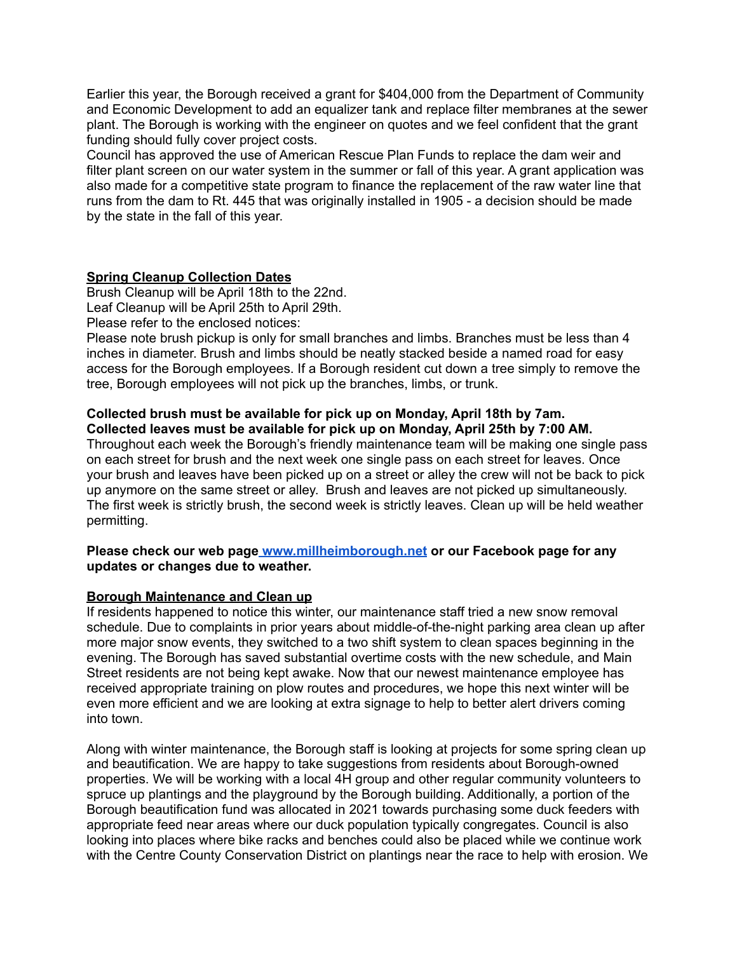Earlier this year, the Borough received a grant for \$404,000 from the Department of Community and Economic Development to add an equalizer tank and replace filter membranes at the sewer plant. The Borough is working with the engineer on quotes and we feel confident that the grant funding should fully cover project costs.

Council has approved the use of American Rescue Plan Funds to replace the dam weir and filter plant screen on our water system in the summer or fall of this year. A grant application was also made for a competitive state program to finance the replacement of the raw water line that runs from the dam to Rt. 445 that was originally installed in 1905 - a decision should be made by the state in the fall of this year.

# **Spring Cleanup Collection Dates**

Brush Cleanup will be April 18th to the 22nd. Leaf Cleanup will be April 25th to April 29th.

Please refer to the enclosed notices:

Please note brush pickup is only for small branches and limbs. Branches must be less than 4 inches in diameter. Brush and limbs should be neatly stacked beside a named road for easy access for the Borough employees. If a Borough resident cut down a tree simply to remove the tree, Borough employees will not pick up the branches, limbs, or trunk.

### **Collected brush must be available for pick up on Monday, April 18th by 7am. Collected leaves must be available for pick up on Monday, April 25th by 7:00 AM.**

Throughout each week the Borough's friendly maintenance team will be making one single pass on each street for brush and the next week one single pass on each street for leaves. Once your brush and leaves have been picked up on a street or alley the crew will not be back to pick up anymore on the same street or alley. Brush and leaves are not picked up simultaneously. The first week is strictly brush, the second week is strictly leaves. Clean up will be held weather permitting.

#### **Please check our web page [www.millheimborough.net](http://www.millheimborough.net/) or our Facebook page for any updates or changes due to weather.**

# **Borough Maintenance and Clean up**

If residents happened to notice this winter, our maintenance staff tried a new snow removal schedule. Due to complaints in prior years about middle-of-the-night parking area clean up after more major snow events, they switched to a two shift system to clean spaces beginning in the evening. The Borough has saved substantial overtime costs with the new schedule, and Main Street residents are not being kept awake. Now that our newest maintenance employee has received appropriate training on plow routes and procedures, we hope this next winter will be even more efficient and we are looking at extra signage to help to better alert drivers coming into town.

Along with winter maintenance, the Borough staff is looking at projects for some spring clean up and beautification. We are happy to take suggestions from residents about Borough-owned properties. We will be working with a local 4H group and other regular community volunteers to spruce up plantings and the playground by the Borough building. Additionally, a portion of the Borough beautification fund was allocated in 2021 towards purchasing some duck feeders with appropriate feed near areas where our duck population typically congregates. Council is also looking into places where bike racks and benches could also be placed while we continue work with the Centre County Conservation District on plantings near the race to help with erosion. We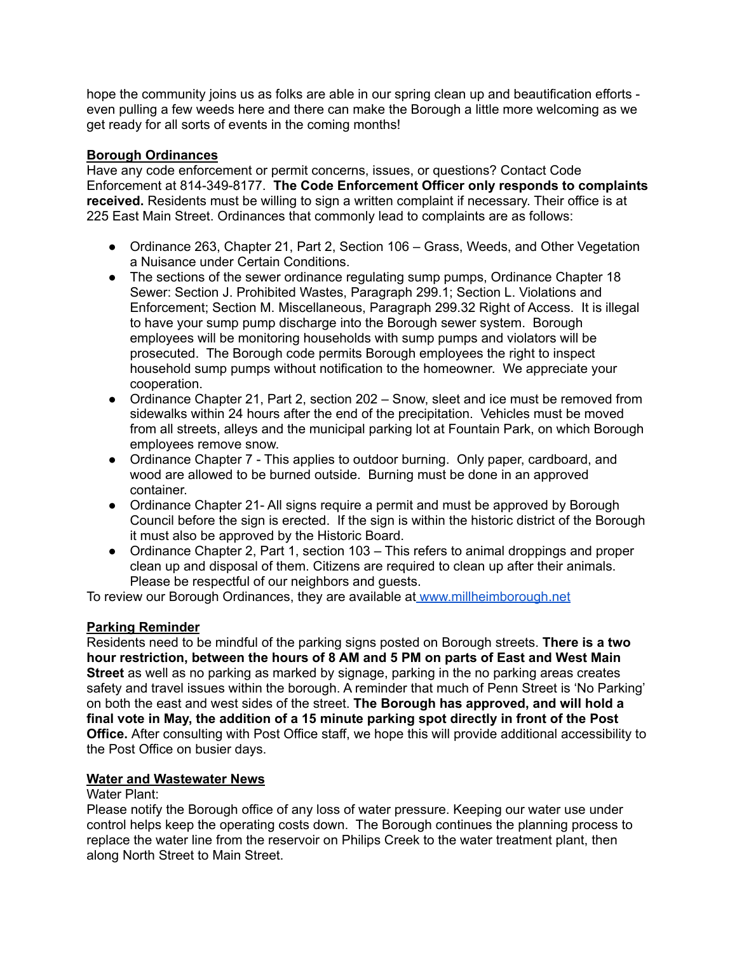hope the community joins us as folks are able in our spring clean up and beautification efforts even pulling a few weeds here and there can make the Borough a little more welcoming as we get ready for all sorts of events in the coming months!

# **Borough Ordinances**

Have any code enforcement or permit concerns, issues, or questions? Contact Code Enforcement at 814-349-8177. **The Code Enforcement Officer only responds to complaints received.** Residents must be willing to sign a written complaint if necessary. Their office is at 225 East Main Street. Ordinances that commonly lead to complaints are as follows:

- Ordinance 263, Chapter 21, Part 2, Section 106 Grass, Weeds, and Other Vegetation a Nuisance under Certain Conditions.
- The sections of the sewer ordinance regulating sump pumps, Ordinance Chapter 18 Sewer: Section J. Prohibited Wastes, Paragraph 299.1; Section L. Violations and Enforcement; Section M. Miscellaneous, Paragraph 299.32 Right of Access. It is illegal to have your sump pump discharge into the Borough sewer system. Borough employees will be monitoring households with sump pumps and violators will be prosecuted. The Borough code permits Borough employees the right to inspect household sump pumps without notification to the homeowner. We appreciate your cooperation.
- Ordinance Chapter 21, Part 2, section 202 Snow, sleet and ice must be removed from sidewalks within 24 hours after the end of the precipitation. Vehicles must be moved from all streets, alleys and the municipal parking lot at Fountain Park, on which Borough employees remove snow.
- Ordinance Chapter 7 This applies to outdoor burning. Only paper, cardboard, and wood are allowed to be burned outside. Burning must be done in an approved container.
- Ordinance Chapter 21- All signs require a permit and must be approved by Borough Council before the sign is erected. If the sign is within the historic district of the Borough it must also be approved by the Historic Board.
- Ordinance Chapter 2, Part 1, section 103 This refers to animal droppings and proper clean up and disposal of them. Citizens are required to clean up after their animals. Please be respectful of our neighbors and guests.

To review our Borough Ordinances, they are available at [www.millheimborough.net](http://www.millheimborough.net/)

#### **Parking Reminder**

Residents need to be mindful of the parking signs posted on Borough streets. **There is a two hour restriction, between the hours of 8 AM and 5 PM on parts of East and West Main Street** as well as no parking as marked by signage, parking in the no parking areas creates safety and travel issues within the borough. A reminder that much of Penn Street is 'No Parking' on both the east and west sides of the street. **The Borough has approved, and will hold a final vote in May, the addition of a 15 minute parking spot directly in front of the Post Office.** After consulting with Post Office staff, we hope this will provide additional accessibility to the Post Office on busier days.

#### **Water and Wastewater News**

#### Water Plant:

Please notify the Borough office of any loss of water pressure. Keeping our water use under control helps keep the operating costs down. The Borough continues the planning process to replace the water line from the reservoir on Philips Creek to the water treatment plant, then along North Street to Main Street.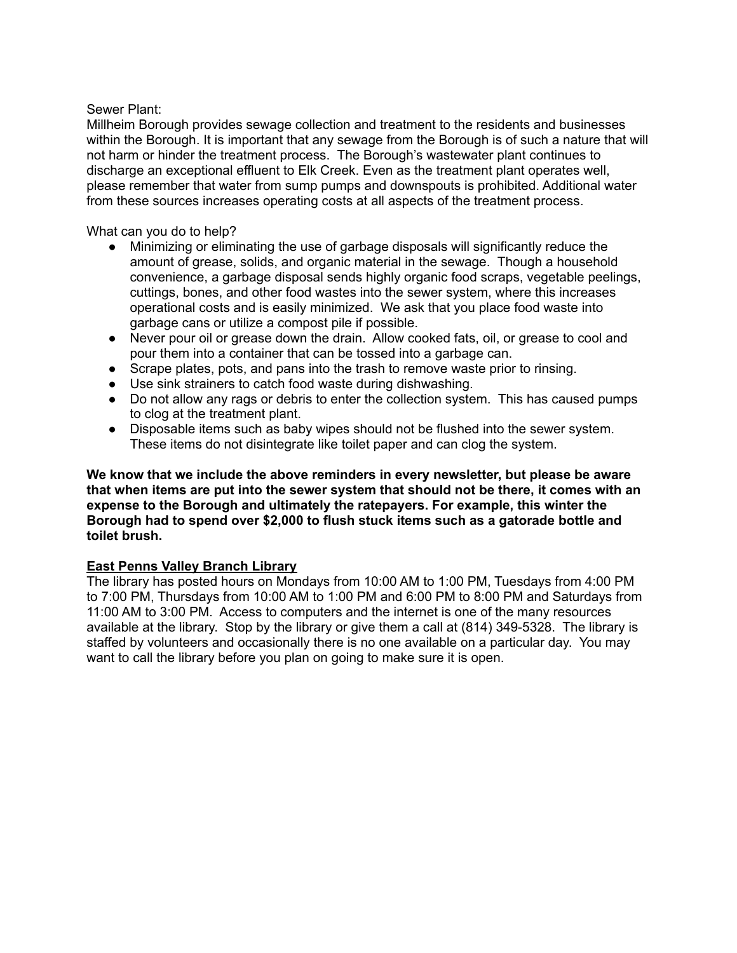### Sewer Plant:

Millheim Borough provides sewage collection and treatment to the residents and businesses within the Borough. It is important that any sewage from the Borough is of such a nature that will not harm or hinder the treatment process. The Borough's wastewater plant continues to discharge an exceptional effluent to Elk Creek. Even as the treatment plant operates well, please remember that water from sump pumps and downspouts is prohibited. Additional water from these sources increases operating costs at all aspects of the treatment process.

### What can you do to help?

- Minimizing or eliminating the use of garbage disposals will significantly reduce the amount of grease, solids, and organic material in the sewage. Though a household convenience, a garbage disposal sends highly organic food scraps, vegetable peelings, cuttings, bones, and other food wastes into the sewer system, where this increases operational costs and is easily minimized. We ask that you place food waste into garbage cans or utilize a compost pile if possible.
- Never pour oil or grease down the drain. Allow cooked fats, oil, or grease to cool and pour them into a container that can be tossed into a garbage can.
- Scrape plates, pots, and pans into the trash to remove waste prior to rinsing.
- Use sink strainers to catch food waste during dishwashing.
- Do not allow any rags or debris to enter the collection system. This has caused pumps to clog at the treatment plant.
- Disposable items such as baby wipes should not be flushed into the sewer system. These items do not disintegrate like toilet paper and can clog the system.

### **We know that we include the above reminders in every newsletter, but please be aware that when items are put into the sewer system that should not be there, it comes with an expense to the Borough and ultimately the ratepayers. For example, this winter the Borough had to spend over \$2,000 to flush stuck items such as a gatorade bottle and toilet brush.**

# **East Penns Valley Branch Library**

The library has posted hours on Mondays from 10:00 AM to 1:00 PM, Tuesdays from 4:00 PM to 7:00 PM, Thursdays from 10:00 AM to 1:00 PM and 6:00 PM to 8:00 PM and Saturdays from 11:00 AM to 3:00 PM. Access to computers and the internet is one of the many resources available at the library. Stop by the library or give them a call at (814) 349-5328. The library is staffed by volunteers and occasionally there is no one available on a particular day. You may want to call the library before you plan on going to make sure it is open.